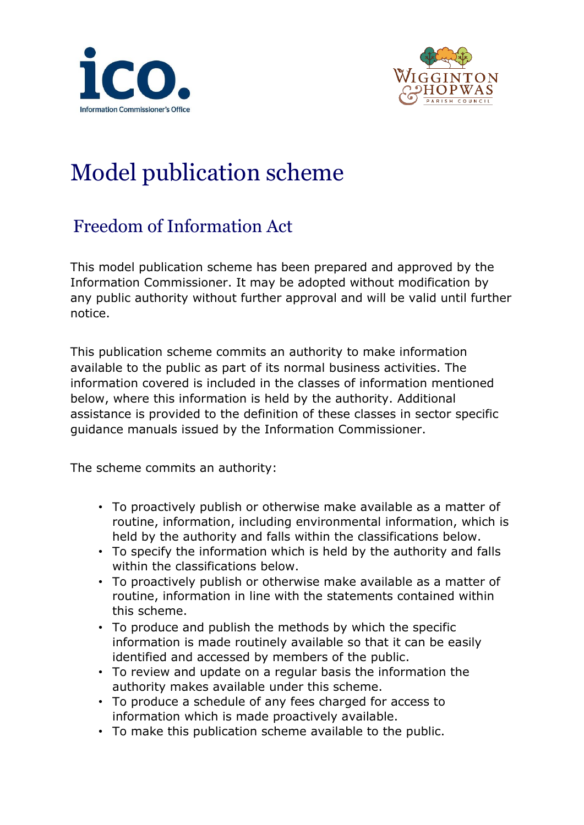



# Model publication scheme

## Freedom of Information Act

This model publication scheme has been prepared and approved by the Information Commissioner. It may be adopted without modification by any public authority without further approval and will be valid until further notice.

This publication scheme commits an authority to make information available to the public as part of its normal business activities. The information covered is included in the classes of information mentioned below, where this information is held by the authority. Additional assistance is provided to the definition of these classes in sector specific guidance manuals issued by the Information Commissioner.

The scheme commits an authority:

- To proactively publish or otherwise make available as a matter of routine, information, including environmental information, which is held by the authority and falls within the classifications below.
- To specify the information which is held by the authority and falls within the classifications below.
- To proactively publish or otherwise make available as a matter of routine, information in line with the statements contained within this scheme.
- To produce and publish the methods by which the specific information is made routinely available so that it can be easily identified and accessed by members of the public.
- To review and update on a regular basis the information the authority makes available under this scheme.
- To produce a schedule of any fees charged for access to information which is made proactively available.
- To make this publication scheme available to the public.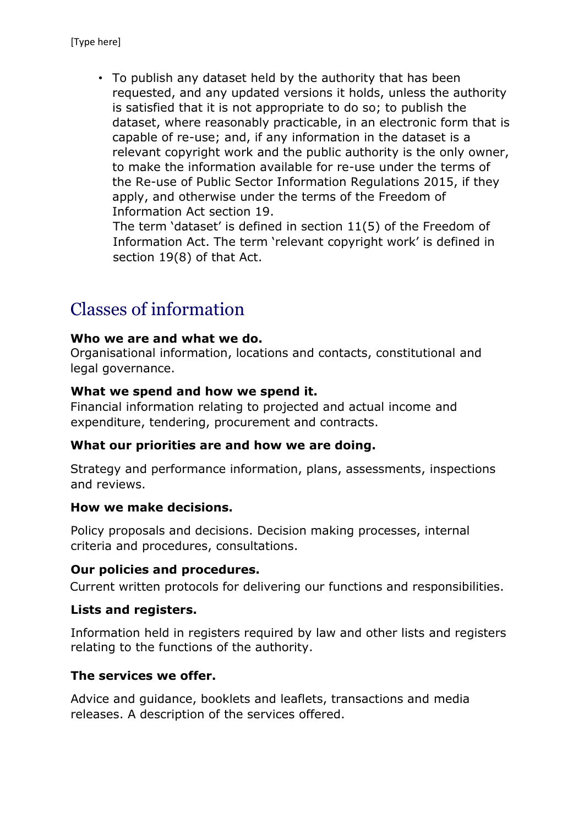• To publish any dataset held by the authority that has been requested, and any updated versions it holds, unless the authority is satisfied that it is not appropriate to do so; to publish the dataset, where reasonably practicable, in an electronic form that is capable of re-use; and, if any information in the dataset is a relevant copyright work and the public authority is the only owner, to make the information available for re-use under the terms of the Re-use of Public Sector Information Regulations 2015, if they apply, and otherwise under the terms of the Freedom of Information Act section 19.

The term 'dataset' is defined in section 11(5) of the Freedom of Information Act. The term 'relevant copyright work' is defined in section 19(8) of that Act.

## Classes of information

#### **Who we are and what we do.**

Organisational information, locations and contacts, constitutional and legal governance.

### **What we spend and how we spend it.**

Financial information relating to projected and actual income and expenditure, tendering, procurement and contracts.

### **What our priorities are and how we are doing.**

Strategy and performance information, plans, assessments, inspections and reviews.

### **How we make decisions.**

Policy proposals and decisions. Decision making processes, internal criteria and procedures, consultations.

### **Our policies and procedures.**

Current written protocols for delivering our functions and responsibilities.

### **Lists and registers.**

Information held in registers required by law and other lists and registers relating to the functions of the authority.

### **The services we offer.**

Advice and guidance, booklets and leaflets, transactions and media releases. A description of the services offered.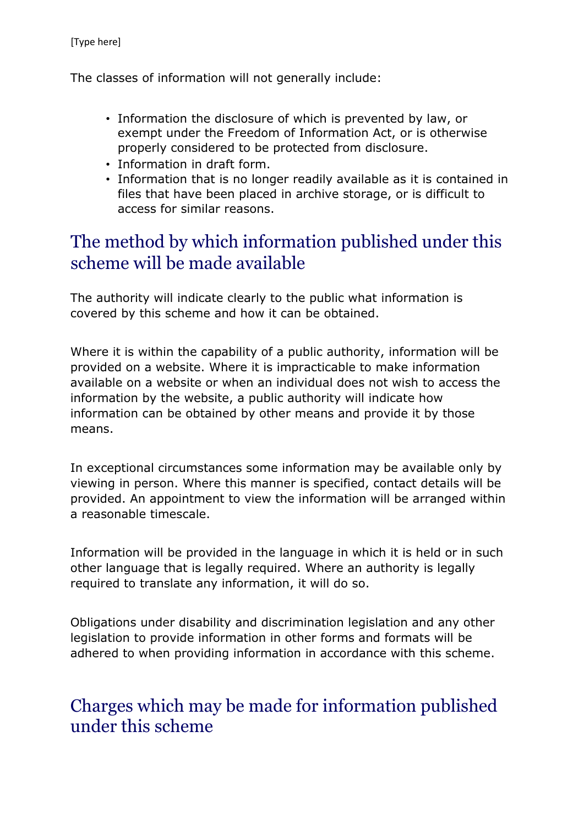The classes of information will not generally include:

- Information the disclosure of which is prevented by law, or exempt under the Freedom of Information Act, or is otherwise properly considered to be protected from disclosure.
- Information in draft form.
- Information that is no longer readily available as it is contained in files that have been placed in archive storage, or is difficult to access for similar reasons.

## The method by which information published under this scheme will be made available

The authority will indicate clearly to the public what information is covered by this scheme and how it can be obtained.

Where it is within the capability of a public authority, information will be provided on a website. Where it is impracticable to make information available on a website or when an individual does not wish to access the information by the website, a public authority will indicate how information can be obtained by other means and provide it by those means.

In exceptional circumstances some information may be available only by viewing in person. Where this manner is specified, contact details will be provided. An appointment to view the information will be arranged within a reasonable timescale.

Information will be provided in the language in which it is held or in such other language that is legally required. Where an authority is legally required to translate any information, it will do so.

Obligations under disability and discrimination legislation and any other legislation to provide information in other forms and formats will be adhered to when providing information in accordance with this scheme.

### Charges which may be made for information published under this scheme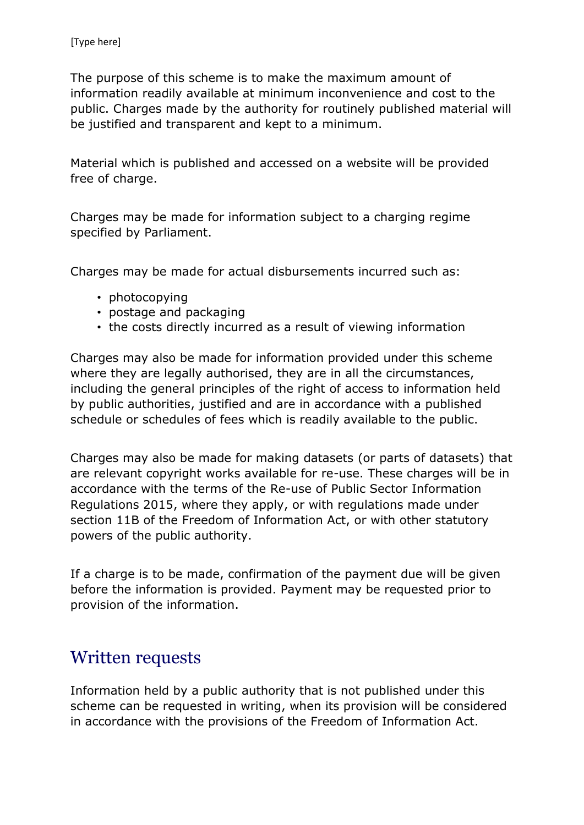The purpose of this scheme is to make the maximum amount of information readily available at minimum inconvenience and cost to the public. Charges made by the authority for routinely published material will be justified and transparent and kept to a minimum.

Material which is published and accessed on a website will be provided free of charge.

Charges may be made for information subject to a charging regime specified by Parliament.

Charges may be made for actual disbursements incurred such as:

- photocopying
- postage and packaging
- the costs directly incurred as a result of viewing information

Charges may also be made for information provided under this scheme where they are legally authorised, they are in all the circumstances, including the general principles of the right of access to information held by public authorities, justified and are in accordance with a published schedule or schedules of fees which is readily available to the public.

Charges may also be made for making datasets (or parts of datasets) that are relevant copyright works available for re-use. These charges will be in accordance with the terms of the Re-use of Public Sector Information Regulations 2015, where they apply, or with regulations made under section 11B of the Freedom of Information Act, or with other statutory powers of the public authority.

If a charge is to be made, confirmation of the payment due will be given before the information is provided. Payment may be requested prior to provision of the information.

### Written requests

Information held by a public authority that is not published under this scheme can be requested in writing, when its provision will be considered in accordance with the provisions of the Freedom of Information Act.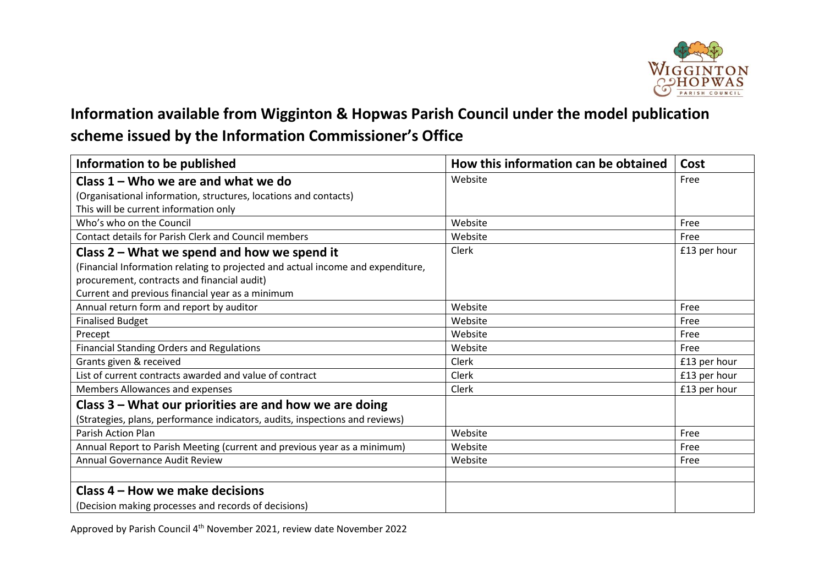

### **Information available from Wigginton & Hopwas Parish Council under the model publication scheme issued by the Information Commissioner's Office**

| Information to be published                                                     | How this information can be obtained | Cost         |
|---------------------------------------------------------------------------------|--------------------------------------|--------------|
| Class $1 -$ Who we are and what we do                                           | Website                              | Free         |
| (Organisational information, structures, locations and contacts)                |                                      |              |
| This will be current information only                                           |                                      |              |
| Who's who on the Council                                                        | Website                              | Free         |
| Contact details for Parish Clerk and Council members                            | Website                              | Free         |
| Class 2 - What we spend and how we spend it                                     | Clerk                                | £13 per hour |
| (Financial Information relating to projected and actual income and expenditure, |                                      |              |
| procurement, contracts and financial audit)                                     |                                      |              |
| Current and previous financial year as a minimum                                |                                      |              |
| Annual return form and report by auditor                                        | Website                              | Free         |
| <b>Finalised Budget</b>                                                         | Website                              | Free         |
| Precept                                                                         | Website                              | Free         |
| <b>Financial Standing Orders and Regulations</b>                                | Website                              | Free         |
| Grants given & received                                                         | Clerk                                | £13 per hour |
| List of current contracts awarded and value of contract                         | Clerk                                | £13 per hour |
| Members Allowances and expenses                                                 | Clerk                                | £13 per hour |
| Class 3 - What our priorities are and how we are doing                          |                                      |              |
| (Strategies, plans, performance indicators, audits, inspections and reviews)    |                                      |              |
| <b>Parish Action Plan</b>                                                       | Website                              | Free         |
| Annual Report to Parish Meeting (current and previous year as a minimum)        | Website                              | Free         |
| <b>Annual Governance Audit Review</b>                                           | Website                              | Free         |
|                                                                                 |                                      |              |
| Class 4 – How we make decisions                                                 |                                      |              |
| (Decision making processes and records of decisions)                            |                                      |              |

Approved by Parish Council 4<sup>th</sup> November 2021, review date November 2022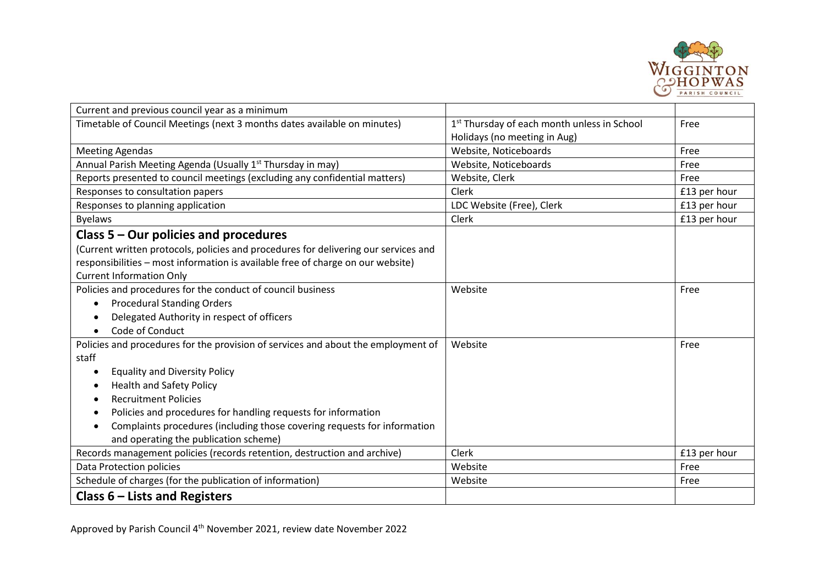

| Current and previous council year as a minimum                                      |                                                         |              |
|-------------------------------------------------------------------------------------|---------------------------------------------------------|--------------|
| Timetable of Council Meetings (next 3 months dates available on minutes)            | 1 <sup>st</sup> Thursday of each month unless in School | Free         |
|                                                                                     | Holidays (no meeting in Aug)                            |              |
| <b>Meeting Agendas</b>                                                              | Website, Noticeboards                                   | Free         |
| Annual Parish Meeting Agenda (Usually 1 <sup>st</sup> Thursday in may)              | Website, Noticeboards                                   | Free         |
| Reports presented to council meetings (excluding any confidential matters)          | Website, Clerk                                          | Free         |
| Responses to consultation papers                                                    | Clerk                                                   | £13 per hour |
| Responses to planning application                                                   | LDC Website (Free), Clerk                               | £13 per hour |
| <b>Byelaws</b>                                                                      | Clerk                                                   | £13 per hour |
| Class $5 -$ Our policies and procedures                                             |                                                         |              |
| (Current written protocols, policies and procedures for delivering our services and |                                                         |              |
| responsibilities - most information is available free of charge on our website)     |                                                         |              |
| <b>Current Information Only</b>                                                     |                                                         |              |
| Policies and procedures for the conduct of council business                         | Website                                                 | Free         |
| <b>Procedural Standing Orders</b>                                                   |                                                         |              |
| Delegated Authority in respect of officers                                          |                                                         |              |
| Code of Conduct<br>$\bullet$                                                        |                                                         |              |
| Policies and procedures for the provision of services and about the employment of   | Website                                                 | Free         |
| staff                                                                               |                                                         |              |
| <b>Equality and Diversity Policy</b><br>٠                                           |                                                         |              |
| <b>Health and Safety Policy</b>                                                     |                                                         |              |
| <b>Recruitment Policies</b>                                                         |                                                         |              |
| Policies and procedures for handling requests for information                       |                                                         |              |
| Complaints procedures (including those covering requests for information            |                                                         |              |
| and operating the publication scheme)                                               |                                                         |              |
| Records management policies (records retention, destruction and archive)            | Clerk                                                   | £13 per hour |
| <b>Data Protection policies</b>                                                     | Website                                                 | Free         |
| Schedule of charges (for the publication of information)                            | Website                                                 | Free         |
| Class $6$ – Lists and Registers                                                     |                                                         |              |